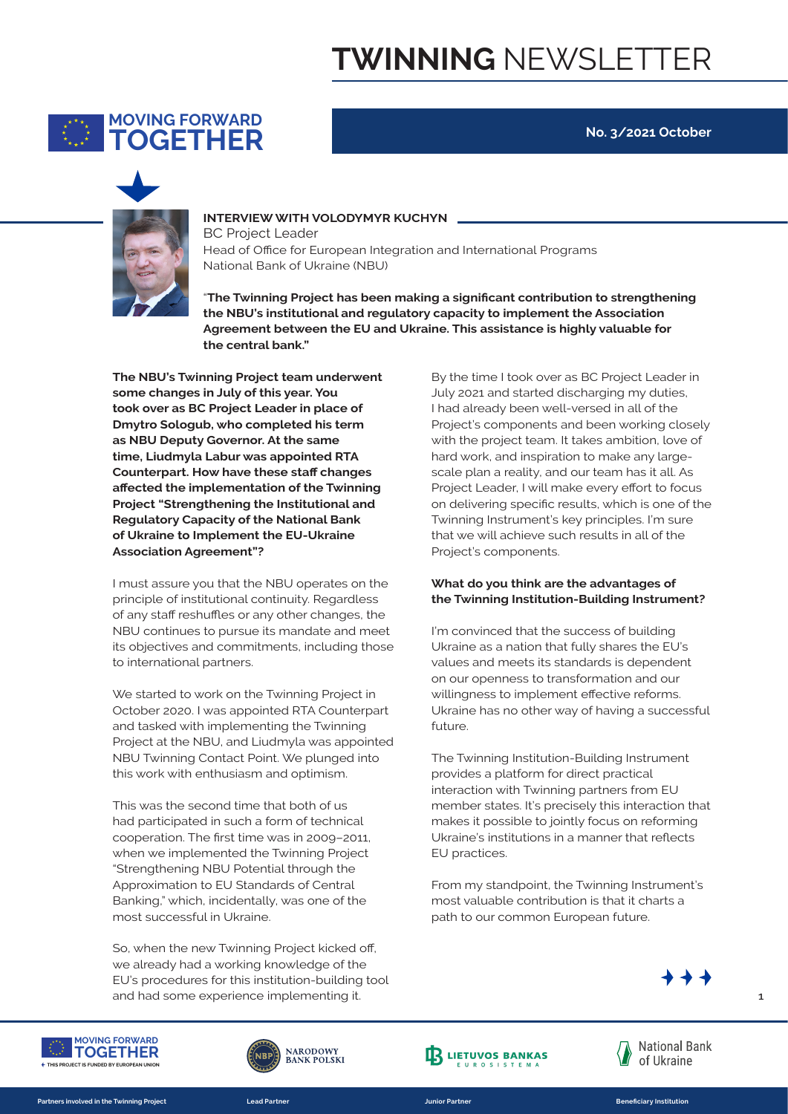

**No. 3/2021 October**



### **INTERVIEW WITH VOLODYMYR KUCHYN**

**THIS FUNDED IS FUNDED BANK** OF Ukraine (NBU) Head of Office for European Integration and International Programs

**The layoutier of the NBU's institutional and regulatory capacity to implement the Association** Agreement between the EU and Ukraine. This assistance is highly valuable for<br>the central bank." "**The Twinning Project has been making a significant contribution to strengthening the central bank."** 

**678 EXPLOSED IDENTITY DETECT ACTS IN THE STAND IS EXPLOSED IN THE EXPLOSION I The NBU's Twinning Project team underwent some changes in July of this year. You took over as BC Project Leader in place of as NBU Deputy Governor. At the same time, Liudmyla Labur was appointed RTA Counterpart. How have these staff changes affected the implementation of the Twinning Project "Strengthening the Institutional and Regulatory Capacity of the National Bank of Ukraine to Implement the EU-Ukraine Association Agreement"? 16** | BRAND IDENTITY & VISIBILITY FOR EU ACTIONS IN UKRAINE

> I must assure you that the NBU operates on the principle of institutional continuity. Regardless of any staff reshuffles or any other changes, the NBU continues to pursue its mandate and meet its objectives and commitments, including those to international partners.

> We started to work on the Twinning Project in October 2020. I was appointed RTA Counterpart and tasked with implementing the Twinning Project at the NBU, and Liudmyla was appointed NBU Twinning Contact Point. We plunged into this work with enthusiasm and optimism.

This was the second time that both of us had participated in such a form of technical cooperation. The first time was in 2009–2011, when we implemented the Twinning Project "Strengthening NBU Potential through the Approximation to EU Standards of Central Banking," which, incidentally, was one of the most successful in Ukraine.

and had some experience implementing it. So, when the new Twinning Project kicked off, we already had a working knowledge of the EU's procedures for this institution-building tool By the time I took over as BC Project Leader in July 2021 and started discharging my duties, I had already been well-versed in all of the Project's components and been working closely with the project team. It takes ambition, love of hard work, and inspiration to make any largescale plan a reality, and our team has it all. As Project Leader, I will make every effort to focus on delivering specific results, which is one of the Twinning Instrument's key principles. I'm sure that we will achieve such results in all of the Project's components.

#### **What do you think are the advantages of the Twinning Institution-Building Instrument?**

I'm convinced that the success of building Ukraine as a nation that fully shares the EU's values and meets its standards is dependent on our openness to transformation and our willingness to implement effective reforms. Ukraine has no other way of having a successful future

The Twinning Institution-Building Instrument provides a platform for direct practical interaction with Twinning partners from EU member states. It's precisely this interaction that makes it possible to jointly focus on reforming Ukraine's institutions in a manner that reflects EU practices.

From my standpoint, the Twinning Instrument's most valuable contribution is that it charts a path to our common European future.



**STRUCTURE AND USAGE** 



**Partners involved in the Twinning Project** 



**TOGETHER Partners involved in the Twinning Project Lead Partner Junior Partner Beneficiary Institution**





**STRUCTURE AND USAGE** 

**STRUCTURE AND USAGE** 

 $\overline{1}$ **16** | BRAND IDENTITY & VISIBILITY FOR EU ACTIONS IN UKRAINE **EXAMPLE**

**FIRST HEADLINE 16** | BRAND IDENTITY & VISIBILITY FOR EU ACTIONS IN UKRAINE

**16** | BRAND IDENTITY & VISIBILITY FOR EU ACTIONS IN UKRAINE **EXAMPLE**

**FIRST HEADLINE**

**FIRST HEADLINE**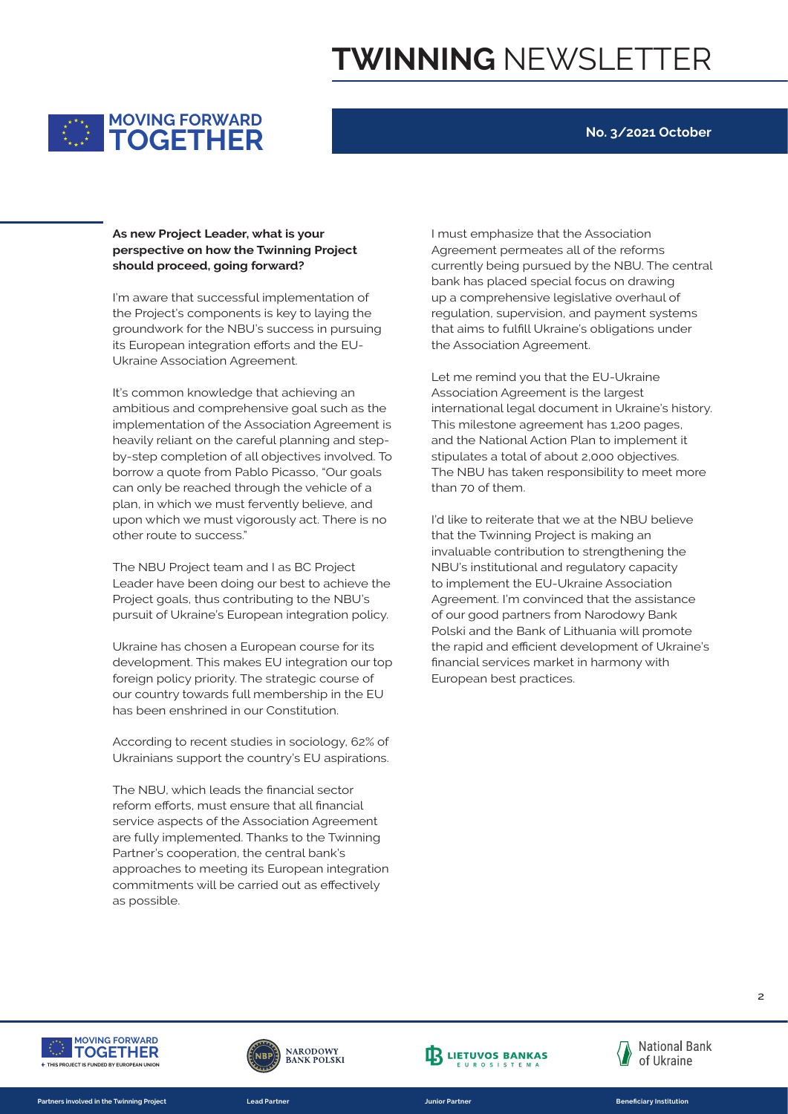

### **No. 3/2021 October**

### should proceed, going forward? As new Project Leader, what is your<br> **DERP NOGET DEAP OF THE PROPERTY perspective on how the Twinning Project**

the Project's components is key to laying the Ukraine Association Agreement. groundwork for the NBU's success in pursuing<br>
its European integration efforts and the EU-I'm aware that successful implementation of its European integration efforts and the EU-

implementation of the Association Agreement is It's common knowledge that achieving an ambitious and comprehensive goal such as the heavily reliant on the careful planning and stepby-step completion of all objectives involved. To borrow a quote from Pablo Picasso, "Our goals can only be reached through the vehicle of a plan, in which we must fervently believe, and upon which we must vigorously act. There is no other route to success."

> The NBU Project team and I as BC Project Leader have been doing our best to achieve the Project goals, thus contributing to the NBU's pursuit of Ukraine's European integration policy.

> Ukraine has chosen a European course for its development. This makes EU integration our top foreign policy priority. The strategic course of our country towards full membership in the EU has been enshrined in our Constitution.

According to recent studies in sociology, 62% of Ukrainians support the country's EU aspirations.

The NBU, which leads the financial sector reform efforts, must ensure that all financial service aspects of the Association Agreement are fully implemented. Thanks to the Twinning Partner's cooperation, the central bank's approaches to meeting its European integration commitments will be carried out as effectively as possible.

the **regulation, supervision, and payment systems** I must emphasize that the Association Agreement permeates all of the reforms currently being pursued by the NBU. The central bank has placed special focus on drawing up a comprehensive legislative overhaul of that aims to fulfill Ukraine's obligations under the Association Agreement.

> Let me remind you that the EU-Ukraine Association Agreement is the largest international legal document in Ukraine's history. This milestone agreement has 1,200 pages, and the National Action Plan to implement it stipulates a total of about 2,000 objectives. The NBU has taken responsibility to meet more than 70 of them.

I'd like to reiterate that we at the NBU believe that the Twinning Project is making an invaluable contribution to strengthening the NBU's institutional and regulatory capacity to implement the EU-Ukraine Association Agreement. I'm convinced that the assistance of our good partners from Narodowy Bank Polski and the Bank of Lithuania will promote the rapid and efficient development of Ukraine's financial services market in harmony with European best practices.



**Partners involved in the Twinning Project** 





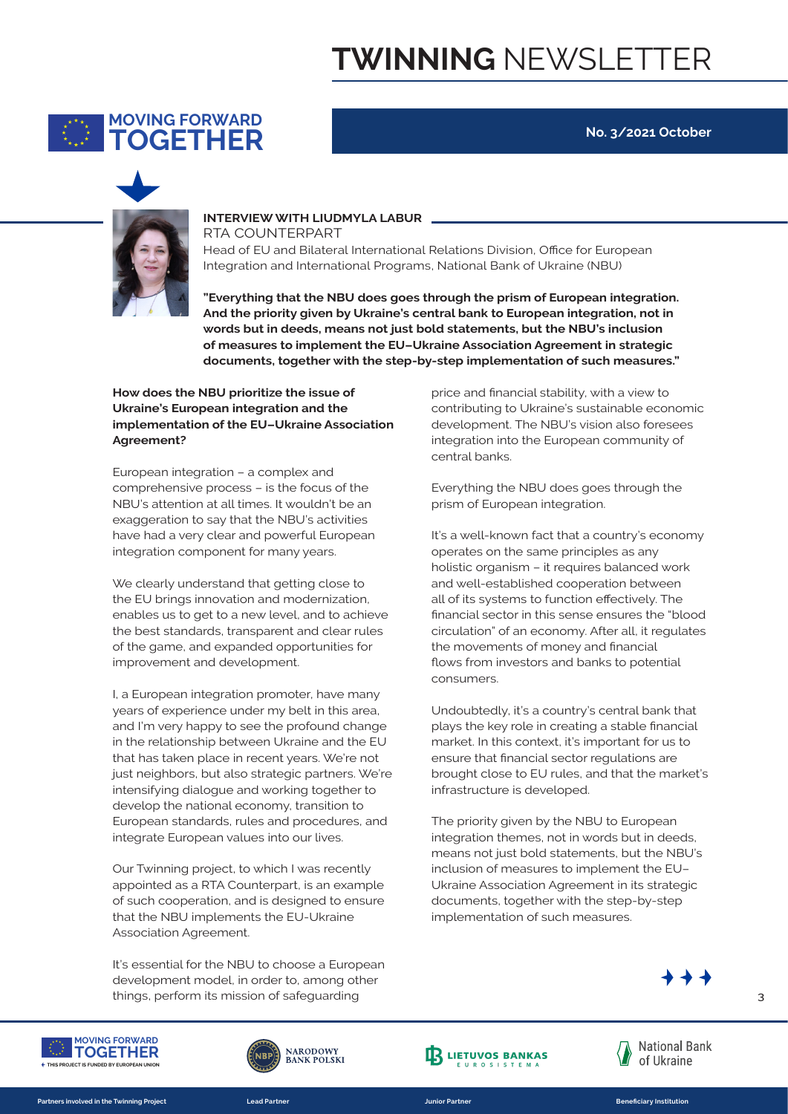

#### **No. 3/2021 October**



### **INTERVIEW WITH LIUDMYLA LABUR**

**THIS CAMPAIGN INTEGRATION** Integration and International Programs, National Bank of Ukraine (NBU) Head of EU and Bilateral International Relations Division, Office for European

**A** And the priority given by Ukraine's central bank to European integration, not in documents, together with the step-by-step implementation of such measures." **TOGETHER words but in deeds, means not just bold statements, but the NBU's inclusion "Everything that the NBU does goes through the prism of European integration.**  of measures to implement the EU–Ukraine Association Agreement in strategic

implementation of the EU–Ukraine Association **How does the NBU prioritize the issue of Ukraine's European integration and the Agreement? 16** | BRAND IDENTITY & VISIBILITY FOR EU ACTIONS IN UKRAINE

> European integration – a complex and comprehensive process – is the focus of the NBU's attention at all times. It wouldn't be an exaggeration to say that the NBU's activities have had a very clear and powerful European integration component for many years.

We clearly understand that getting close to the EU brings innovation and modernization, enables us to get to a new level, and to achieve the best standards, transparent and clear rules of the game, and expanded opportunities for improvement and development.

I, a European integration promoter, have many years of experience under my belt in this area, and I'm very happy to see the profound change in the relationship between Ukraine and the EU that has taken place in recent years. We're not just neighbors, but also strategic partners. We're intensifying dialogue and working together to develop the national economy, transition to European standards, rules and procedures, and integrate European values into our lives.

Our Twinning project, to which I was recently appointed as a RTA Counterpart, is an example of such cooperation, and is designed to ensure that the NBU implements the EU-Ukraine Association Agreement.

things, perform its mission of safeguarding It's essential for the NBU to choose a European development model, in order to, among other

price and financial stability, with a view to contributing to Ukraine's sustainable economic development. The NBU's vision also foresees integration into the European community of central banks.

Everything the NBU does goes through the prism of European integration.

It's a well-known fact that a country's economy operates on the same principles as any holistic organism – it requires balanced work and well-established cooperation between all of its systems to function effectively. The financial sector in this sense ensures the "blood circulation" of an economy. After all, it regulates the movements of money and financial flows from investors and banks to potential consumers.

Undoubtedly, it's a country's central bank that plays the key role in creating a stable financial market. In this context, it's important for us to ensure that financial sector regulations are brought close to EU rules, and that the market's infrastructure is developed.

The priority given by the NBU to European integration themes, not in words but in deeds, means not just bold statements, but the NBU's inclusion of measures to implement the EU– Ukraine Association Agreement in its strategic documents, together with the step-by-step implementation of such measures.



**STRUCTURE AND USAGE** 



**Partners involved in the Twinning Project** 



**TOGETHER Partners involved in the Twinning Project Lead Partner Junior Partner Beneficiary Institution**





**STRUCTURE AND USAGE** 

**STRUCTURE AND USAGE** 

 $\overline{\mathbf{a}}$ **16** | BRAND IDENTITY & VISIBILITY FOR EU ACTIONS IN UKRAINE **EXAMPLE**

**FIRST HEADLINE 16** | BRAND IDENTITY & VISIBILITY FOR EU ACTIONS IN UKRAINE

**16** | BRAND IDENTITY & VISIBILITY FOR EU ACTIONS IN UKRAINE **EXAMPLE**

**FIRST HEADLINE**

**FIRST HEADLINE**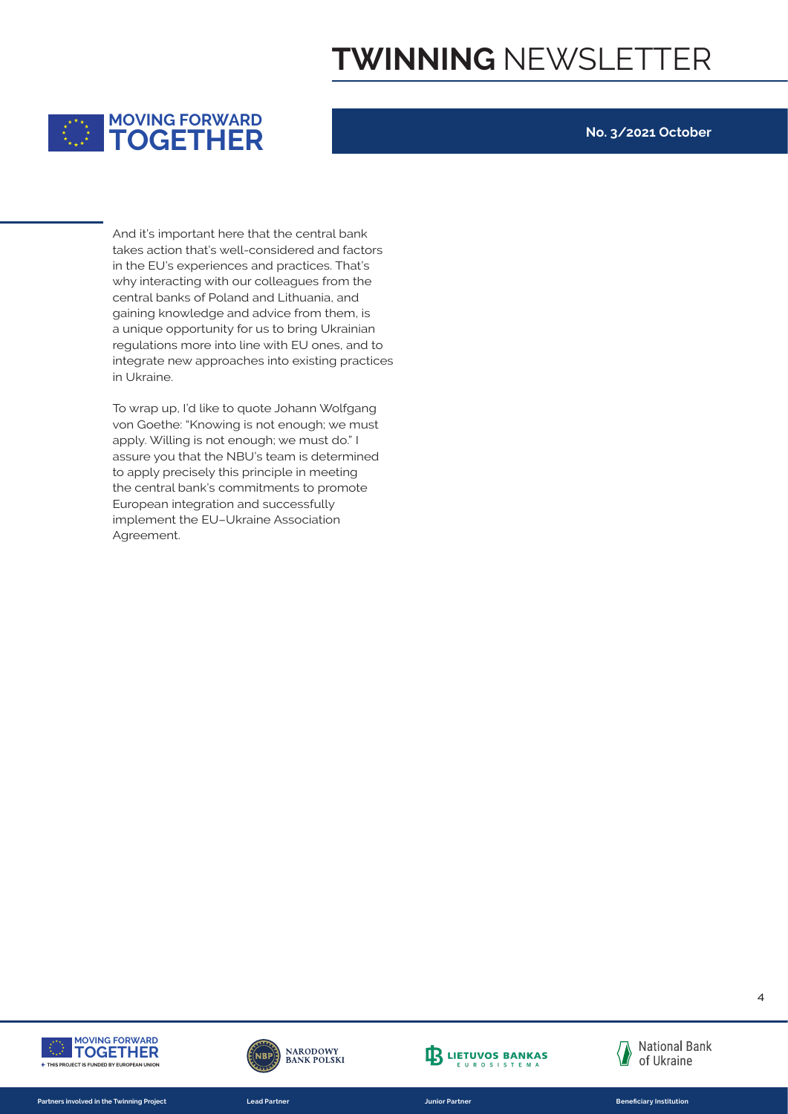

#### **No. 3/2021 October**

gaining knowledge and advice from them, is integrate new approaches into existing practices a unique opportunity for us to bring Ukrainian<br>
requlations more into line with EU ones, and to in the EU's experiences and practices. That's And it's important here that the central bank<br>takes action that's well-considered and factor takes action that's well-considered and factors why interacting with our colleagues from the central banks of Poland and Lithuania, and regulations more into line with EU ones, and to in Ukraine.

von Goethe: "Knowing is not enough; we must To wrap up, I'd like to quote Johann Wolfgang apply. Willing is not enough; we must do." I assure you that the NBU's team is determined to apply precisely this principle in meeting the central bank's commitments to promote European integration and successfully implement the EU–Ukraine Association Agreement.



**Partners involved in the Twinning Project** 



**TOGETHER Partners involved in the Twinning Project Lead Partner Junior Partner Beneficiary Institution**



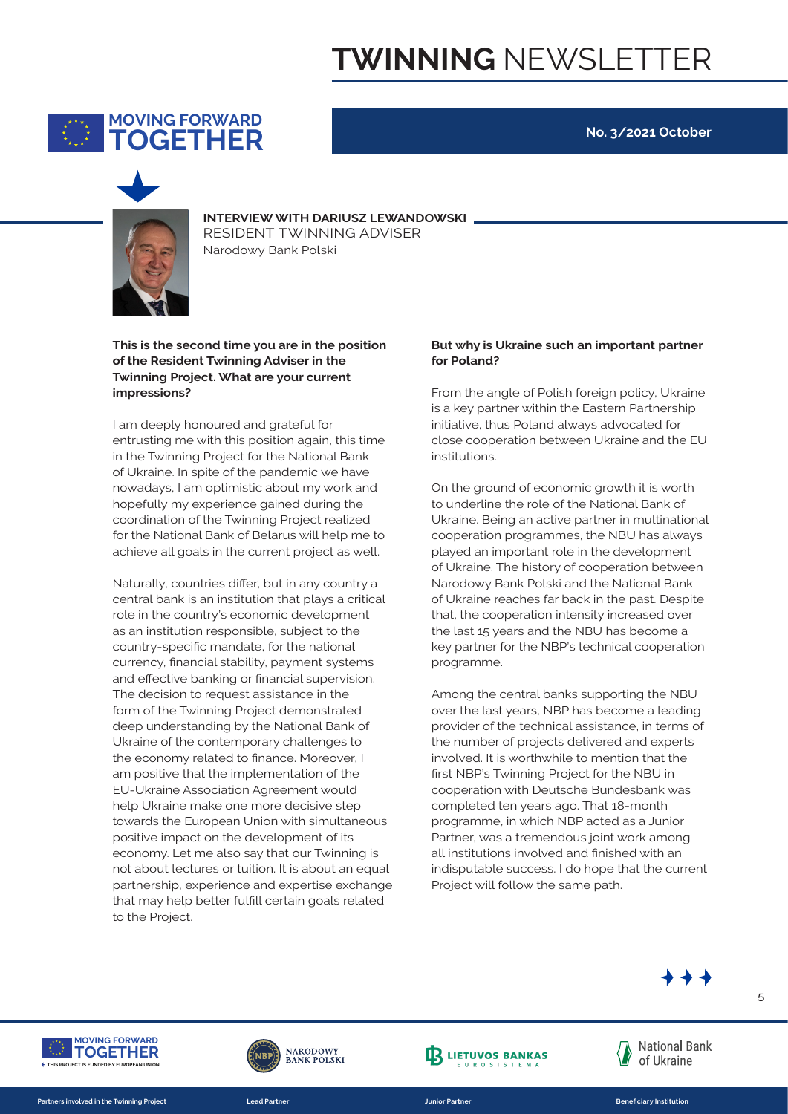

### **No. 3/2021 October**



**INTERVIEW WITH DARIUSZ LEWANDOWSKI TOGETHER**<br>
Narodowy Bank Polski<br>
Narodowy Bank Polski Narodowy Bank Polski

of the Resident Twinning Adviser in the **This is the second time you are in the position Twinning Project. What are your current impressions? 16** | BRAND IDENTITY & VISIBILITY FOR EU ACTIONS IN UKRAINE

> I am deeply honoured and grateful for entrusting me with this position again, this time in the Twinning Project for the National Bank of Ukraine. In spite of the pandemic we have nowadays, I am optimistic about my work and hopefully my experience gained during the coordination of the Twinning Project realized for the National Bank of Belarus will help me to achieve all goals in the current project as well.

> > Naturally, countries differ, but in any country a central bank is an institution that plays a critical role in the country's economic development as an institution responsible, subject to the country-specific mandate, for the national currency, financial stability, payment systems and effective banking or financial supervision. The decision to request assistance in the form of the Twinning Project demonstrated deep understanding by the National Bank of Ukraine of the contemporary challenges to the economy related to finance. Moreover, I am positive that the implementation of the EU-Ukraine Association Agreement would help Ukraine make one more decisive step towards the European Union with simultaneous positive impact on the development of its economy. Let me also say that our Twinning is not about lectures or tuition. It is about an equal partnership, experience and expertise exchange that may help better fulfill certain goals related to the Project.

#### **But why is Ukraine such an important partner for Poland?**

From the angle of Polish foreign policy, Ukraine is a key partner within the Eastern Partnership initiative, thus Poland always advocated for close cooperation between Ukraine and the EU institutions.

On the ground of economic growth it is worth to underline the role of the National Bank of Ukraine. Being an active partner in multinational cooperation programmes, the NBU has always played an important role in the development of Ukraine. The history of cooperation between Narodowy Bank Polski and the National Bank of Ukraine reaches far back in the past. Despite that, the cooperation intensity increased over the last 15 years and the NBU has become a key partner for the NBP's technical cooperation programme.

Among the central banks supporting the NBU over the last years, NBP has become a leading provider of the technical assistance, in terms of the number of projects delivered and experts involved. It is worthwhile to mention that the first NBP's Twinning Project for the NBU in cooperation with Deutsche Bundesbank was completed ten years ago. That 18-month programme, in which NBP acted as a Junior Partner, was a tremendous joint work among all institutions involved and finished with an indisputable success. I do hope that the current Project will follow the same path.



**STRUCTURE AND USAGE** 



**Partners involved in the Twinning Project** 



**TOGETHER Partners involved in the Twinning Project Lead Partner Junior Partner Beneficiary Institution**





**STRUCTURE AND USAGE** 

**STRUCTURE AND USAGE** 

5 **16** | BRAND IDENTITY & VISIBILITY FOR EU ACTIONS IN UKRAINE **EXAMPLE**

**FIRST HEADLINE 16** | BRAND IDENTITY & VISIBILITY FOR EU ACTIONS IN UKRAINE

**FIRST HEADLINE**

**16** | BRAND IDENTITY & VISIBILITY FOR EU ACTIONS IN UKRAINE **EXAMPLE**

**FIRST HEADLINE**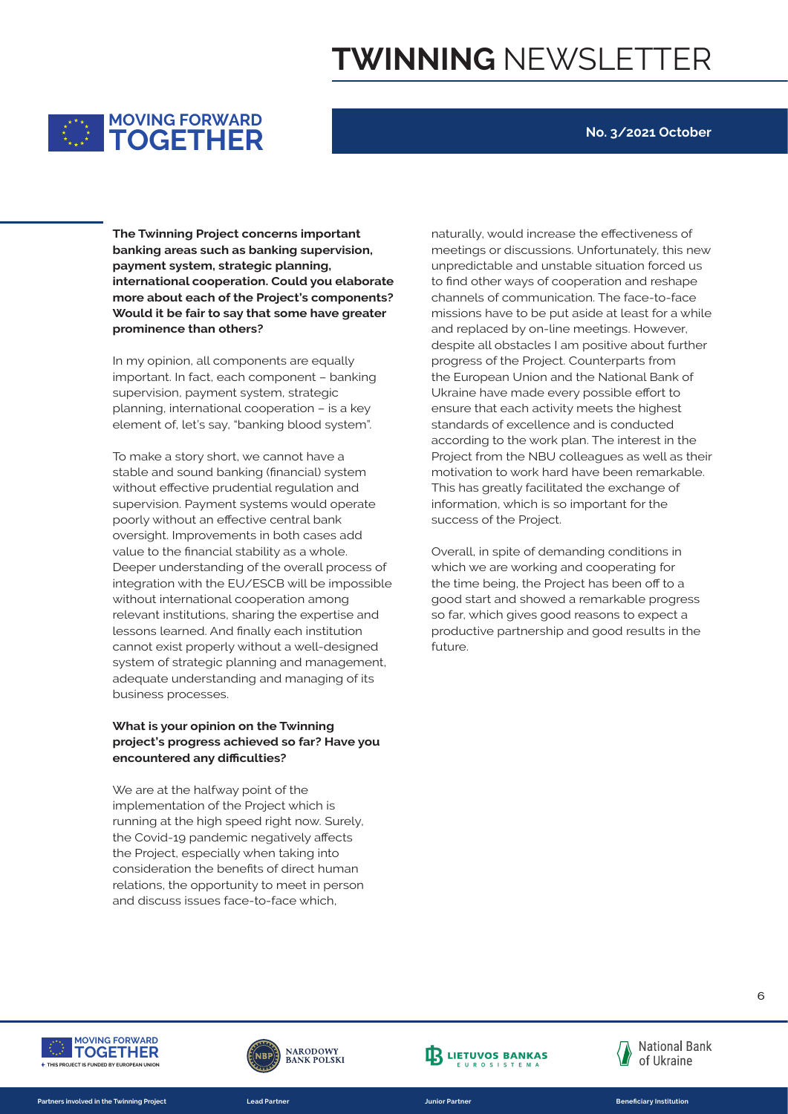

#### **No. 3/2021 October**

Would it be fair to say that some have greater prominence than others? payment system, strategic planning, **The Twinning Project concerns important**<br> **banking areas such as banking supervision banking areas such as banking supervision, international cooperation. Could you elaborate more about each of the Project's components?** 

element of, let's say, "banking blood system". In my opinion, all components are equally important. In fact, each component – banking supervision, payment system, strategic planning, international cooperation – is a key

> To make a story short, we cannot have a stable and sound banking (financial) system without effective prudential regulation and supervision. Payment systems would operate poorly without an effective central bank oversight. Improvements in both cases add value to the financial stability as a whole. Deeper understanding of the overall process of integration with the EU/ESCB will be impossible without international cooperation among relevant institutions, sharing the expertise and lessons learned. And finally each institution cannot exist properly without a well-designed system of strategic planning and management, adequate understanding and managing of its business processes.

#### **What is your opinion on the Twinning project's progress achieved so far? Have you encountered any difficulties?**

We are at the halfway point of the implementation of the Project which is running at the high speed right now. Surely, the Covid-19 pandemic negatively affects the Project, especially when taking into consideration the benefits of direct human relations, the opportunity to meet in person and discuss issues face-to-face which,

reater missions have to be put aside at least for a while naturally, would increase the effectiveness of meetings or discussions. Unfortunately, this new unpredictable and unstable situation forced us to find other ways of cooperation and reshape channels of communication. The face-to-face and replaced by on-line meetings. However, despite all obstacles I am positive about further progress of the Project. Counterparts from the European Union and the National Bank of Ukraine have made every possible effort to ensure that each activity meets the highest standards of excellence and is conducted according to the work plan. The interest in the Project from the NBU colleagues as well as their motivation to work hard have been remarkable. This has greatly facilitated the exchange of information, which is so important for the success of the Project.

> Overall, in spite of demanding conditions in which we are working and cooperating for the time being, the Project has been off to a good start and showed a remarkable progress so far, which gives good reasons to expect a productive partnership and good results in the future



**Partners involved in the Twinning Project** 



**TOGETHER Partners involved in the Twinning Project Lead Partner Junior Partner Beneficiary Institution**



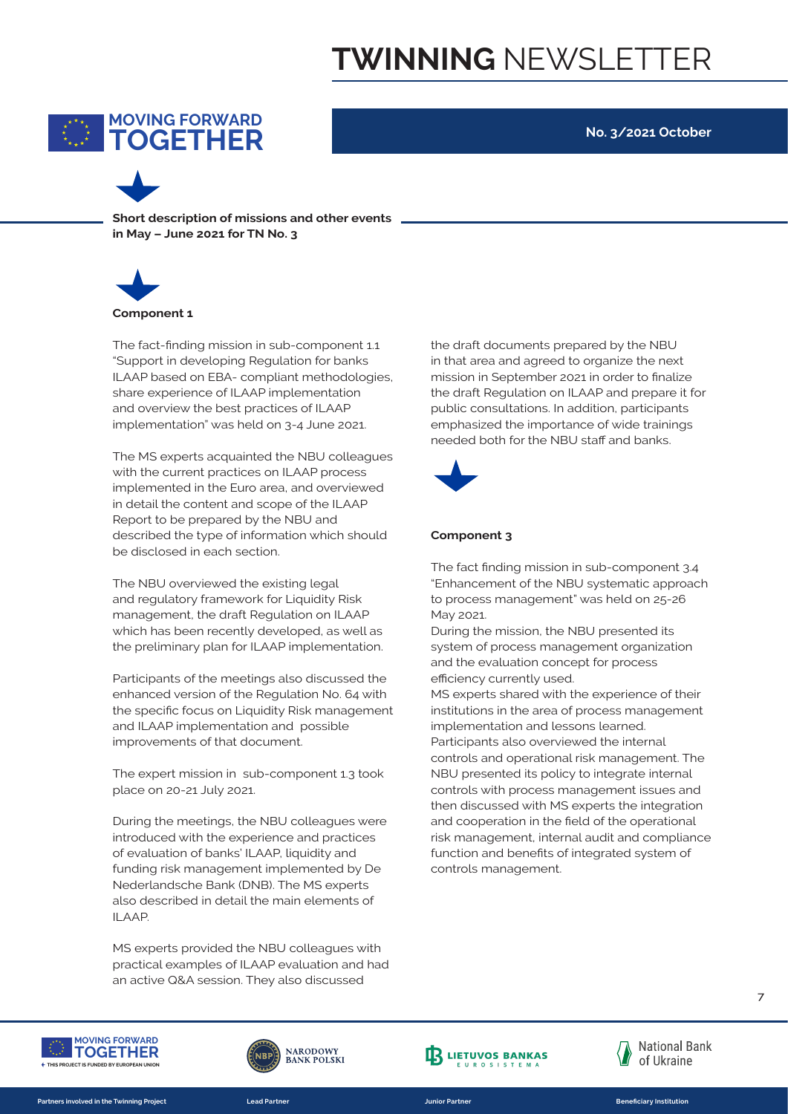

**No. 3/2021 October**

**Short description of missions and other events in May – June 2021 for TN No. 3** 



implementation" was held on 3-4 June 2021. "Support in developing Regulation for banks The fact-finding mission in sub-component 1.1 ILAAP based on EBA- compliant methodologies, share experience of ILAAP implementation and overview the best practices of ILAAP **16** | BRAND IDENTITY & VISIBILITY FOR EU ACTIONS IN UKRAINE

> The MS experts acquainted the NBU colleagues with the current practices on ILAAP process implemented in the Euro area, and overviewed in detail the content and scope of the ILAAP Report to be prepared by the NBU and described the type of information which should be disclosed in each section. The MS experts a<mark>c</mark>

The NBU overviewed the existing legal and regulatory framework for Liquidity Risk management, the draft Regulation on ILAAP which has been recently developed, as well as the preliminary plan for ILAAP implementation.

Participants of the meetings also discussed the enhanced version of the Regulation No. 64 with M the specific focus on Liquidity Risk management and ILAAP implementation and possible improvements of that document.

The expert mission in sub-component 1.3 took place on 20-21 July 2021.

During the meetings, the NBU colleagues were introduced with the experience and practices of evaluation of banks' ILAAP, liquidity and funding risk management implemented by De Nederlandsche Bank (DNB). The MS experts also described in detail the main elements of ILAAP.

MS experts provided the NBU colleagues with practical examples of ILAAP evaluation and had an active Q&A session. They also discussed

the draft documents prepared by the NBU in that area and agreed to organize the next mission in September 2021 in order to finalize the draft Regulation on ILAAP and prepare it for public consultations. In addition, participants 4 June 2021. **Example in the importance of wide trainings** needed both for the NBU staff and banks.



#### **Component 3**

The fact finding mission in sub-component 3.4 "Enhancement of the NBU systematic approach to process management" was held on 25-26 May 2021.

During the mission, the NBU presented its system of process management organization of the evaluation concept for process efficiency currently used.

MS experts shared with the experience of their institutions in the area of process management implementation and lessons learned. Participants also overviewed the internal controls and operational risk management. The NBU presented its policy to integrate internal controls with process management issues and then discussed with MS experts the integration and cooperation in the field of the operational risk management, internal audit and compliance function and benefits of integrated system of controls management.



**Partners involved in the Twinning Project** 



**TOGETHER Partners involved in the Twinning Project Lead Partner Junior Partner Beneficiary Institution**